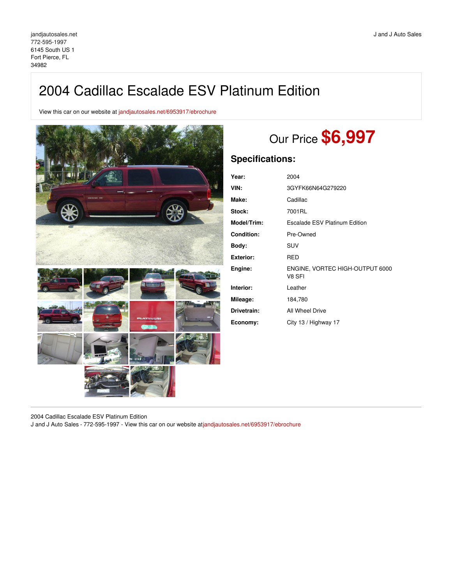## 2004 Cadillac Escalade ESV Platinum Edition

View this car on our website at [jandjautosales.net/6953917/ebrochure](https://jandjautosales.net/vehicle/6953917/2004-cadillac-escalade-esv-platinum-edition-fort-pierce-fl-34982/6953917/ebrochure)



# Our Price **\$6,997**

### **Specifications:**

| Year:              | 2004                                      |
|--------------------|-------------------------------------------|
| VIN:               | 3GYFK66N64G279220                         |
| Make:              | Cadillac                                  |
| Stock:             | 7001RL                                    |
| <b>Model/Trim:</b> | <b>Escalade ESV Platinum Edition</b>      |
| <b>Condition:</b>  | Pre-Owned                                 |
| Body:              | SUV                                       |
| Exterior:          | <b>RED</b>                                |
| Engine:            | ENGINE, VORTEC HIGH-OUTPUT 6000<br>V8 SFI |
| Interior:          | Leather                                   |
| Mileage:           | 184,780                                   |
| Drivetrain:        | All Wheel Drive                           |
| Economy:           | City 13 / Highway 17                      |

2004 Cadillac Escalade ESV Platinum Edition

J and J Auto Sales - 772-595-1997 - View this car on our website at[jandjautosales.net/6953917/ebrochure](https://jandjautosales.net/vehicle/6953917/2004-cadillac-escalade-esv-platinum-edition-fort-pierce-fl-34982/6953917/ebrochure)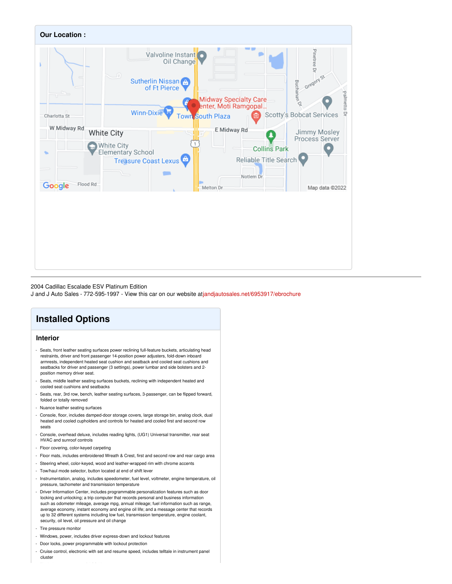

#### 2004 Cadillac Escalade ESV Platinum Edition

J and J Auto Sales - 772-595-1997 - View this car on our website at[jandjautosales.net/6953917/ebrochure](https://jandjautosales.net/vehicle/6953917/2004-cadillac-escalade-esv-platinum-edition-fort-pierce-fl-34982/6953917/ebrochure)

## **Installed Options**

#### **Interior**

- Seats, front leather seating surfaces power reclining full-feature buckets, articulating head restraints, driver and front passenger 14-position power adjusters, fold-down inboard armrests, independent heated seat cushion and seatback and cooled seat cushions and seatbacks for driver and passenger (3 settings), power lumbar and side bolsters and 2 position memory driver seat.
- Seats, middle leather seating surfaces buckets, reclining with independent heated and cooled seat cushions and seatbacks
- Seats, rear, 3rd row, bench, leather seating surfaces, 3-passenger, can be flipped forward, folded or totally removed
- Nuance leather seating surfaces
- Console, floor, includes damped-door storage covers, large storage bin, analog clock, dual heated and cooled cupholders and controls for heated and cooled first and second row seats
- Console, overhead deluxe, includes reading lights, (UG1) Universal transmitter, rear seat HVAC and sunroof controls
- Floor covering, color-keyed carpeting
- Floor mats, includes embroidered Wreath & Crest, first and second row and rear cargo area
- Steering wheel, color-keyed, wood and leather-wrapped rim with chrome accents
- Tow/haul mode selector, button located at end of shift lever
- Instrumentation, analog, includes speedometer, fuel level, voltmeter, engine temperature, oil pressure, tachometer and transmission temperature
- Driver Information Center, includes programmable personalization features such as door locking and unlocking; a trip computer that records personal and business information such as odometer mileage, average mpg, annual mileage; fuel information such as range, average economy, instant economy and engine oil life; and a message center that records up to 32 different systems including low fuel, transmission temperature, engine coolant, security, oil level, oil pressure and oil change
- Tire pressure monitor
- Windows, power, includes driver express-down and lockout features
- Door locks, power programmable with lockout protection
- Cruise control, electronic with set and resume speed, includes telltale in instrument panel cluster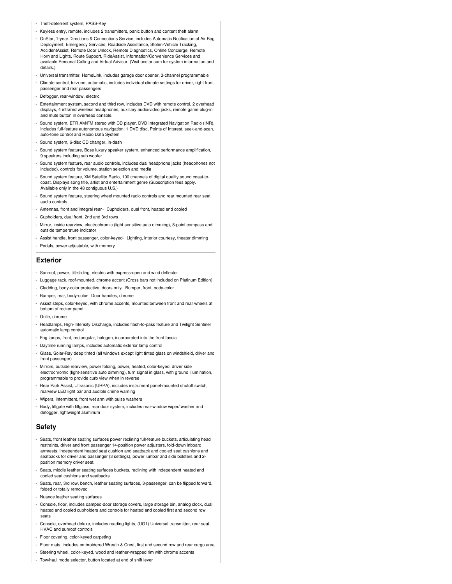- Theft-deterrent system, PASS-Key
- Keyless entry, remote, includes 2 transmitters, panic button and content theft alarm
- OnStar, 1-year Directions & Connections Service, includes Automatic Notification of Air Bag Deployment, Emergency Services, Roadside Assistance, Stolen-Vehicle Tracking, AccidentAssist, Remote Door Unlock, Remote Diagnostics, Online Concierge, Remote Horn and Lights, Route Support, RideAssist, Information/Convenience Services and available Personal Calling and Virtual Advisor. (Visit onstar.com for system information and details.)
- Universal transmitter, HomeLink, includes garage door opener, 3-channel programmable
- Climate control, tri-zone, automatic, includes individual climate settings for driver, right front passenger and rear passengers
- Defogger, rear-window, electric
- Entertainment system, second and third row, includes DVD with remote control, 2 overhead displays, 4 infrared wireless headphones, auxiliary audio/video jacks, remote game plug-in and mute button in overhead console.
- Sound system, ETR AM/FM stereo with CD player, DVD Integrated Navigation Radio (INR), includes full-feature autonomous navigation, 1 DVD disc, Points of Interest, seek-and-scan, auto-tone control and Radio Data System
- Sound system, 6-disc CD changer, in-dash
- Sound system feature, Bose luxury speaker system, enhanced performance amplification, ers including sub woofe
- Sound system feature, rear audio controls, includes dual headphone jacks (headphones not included), controls for volume, station selection and media
- Sound system feature, XM Satellite Radio, 100 channels of digital quality sound coast-tocoast. Displays song title, artist and entertainment genre (Subscription fees apply. Available only in the 48 contiguous U.S.)
- Sound system feature, steering wheel mounted radio controls and rear mounted rear seat audio controls
- Antennas, front and integral rear- Cupholders, dual front, heated and cooled
- Cupholders, dual front, 2nd and 3rd rows
- Mirror, inside rearview, electrochromic (light-sensitive auto dimming), 8-point compass and outside temperature indicator
- Assist handle, front passenger, color-keyed- Lighting, interior courtesy, theater dimming - Pedals, power adjustable, with memory
- 

#### **Exterior**

- Sunroof, power, tilt-sliding, electric with express-open and wind deflector
- Luggage rack, roof-mounted, chrome accent (Cross bars not included on Platinum Edition)
- Cladding, body-color protective, doors only- Bumper, front, body-color
- Bumper, rear, body-color- Door handles, chrome
- Assist steps, color-keyed, with chrome accents, mounted between front and rear wheels at bottom of rocker panel
- Grille, chrome
- Headlamps, High-Intensity Discharge, includes flash-to-pass feature and Twilight Sentinel automatic lamp control
- Fog lamps, front, rectangular, halogen, incorporated into the front fascia
- Daytime running lamps, includes automatic exterior lamp control
- Glass, Solar-Ray deep tinted (all windows except light tinted glass on windshield, driver and front passenger)
- Mirrors, outside rearview, power folding, power, heated, color-keyed, driver side electrochromic (light-sensitive auto dimming), turn signal in glass, with ground illumination, programmable to provide curb view when in reverse
- Rear Park Assist, Ultrasonic (URPA), includes instrument panel-mounted shutoff switch, rearview LED light bar and audible chime warning
- Wipers, intermittent, front wet arm with pulse washers
- Body, liftgate with liftglass, rear door system, includes rear-window wiper/ washer and defogger, lightweight aluminum

#### **Safety**

- Seats, front leather seating surfaces power reclining full-feature buckets, articulating head restraints, driver and front passenger 14-position power adjusters, fold-down inboard armrests, independent heated seat cushion and seatback and cooled seat cushions and seatbacks for driver and passenger (3 settings), power lumbar and side bolsters and 2 position memory driver seat.
- Seats, middle leather seating surfaces buckets, reclining with independent heated and cooled seat cushions and seatbacks
- Seats, rear, 3rd row, bench, leather seating surfaces, 3-passenger, can be flipped forward, folded or totally removed
- Nuance leather seating surfaces
- Console, floor, includes damped-door storage covers, large storage bin, analog clock, dual heated and cooled cupholders and controls for heated and cooled first and second row seats
- Console, overhead deluxe, includes reading lights, (UG1) Universal transmitter, rear seat HVAC and sunroof controls
- Floor covering, color-keyed carpeting
- Floor mats, includes embroidered Wreath & Crest, first and second row and rear cargo area
- Steering wheel, color-keyed, wood and leather-wrapped rim with chrome accents
- Tow/haul mode selector, button located at end of shift lever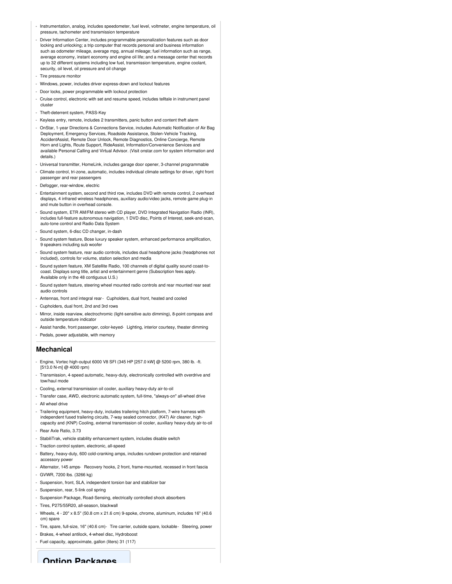- Instrumentation, analog, includes speedometer, fuel level, voltmeter, engine temperature, oil pressure, tachometer and transmission temperature
- Driver Information Center, includes programmable personalization features such as door locking and unlocking; a trip computer that records personal and business information such as odometer mileage, average mpg, annual mileage; fuel information such as range, average economy, instant economy and engine oil life; and a message center that records up to 32 different systems including low fuel, transmission temperature, engine coolant, security, oil level, oil pressure and oil change
- Tire pressure monitor
- Windows, power, includes driver express-down and lockout features
- Door locks, power programmable with lockout protection
- Cruise control, electronic with set and resume speed, includes telltale in instrument panel cluster
- Theft-deterrent system, PASS-Key
- Keyless entry, remote, includes 2 transmitters, panic button and content theft alarm
- OnStar, 1-year Directions & Connections Service, includes Automatic Notification of Air Bag Deployment, Emergency Services, Roadside Assistance, Stolen-Vehicle Tracking, AccidentAssist, Remote Door Unlock, Remote Diagnostics, Online Concierge, Remote Horn and Lights, Route Support, RideAssist, Information/Convenience Services and available Personal Calling and Virtual Advisor. (Visit onstar.com for system information and details.)
- Universal transmitter, HomeLink, includes garage door opener, 3-channel programmable
- Climate control, tri-zone, automatic, includes individual climate settings for driver, right front passenger and rear passengers
- Defogger, rear-window, electric
- Entertainment system, second and third row, includes DVD with remote control, 2 overhead displays, 4 infrared wireless headphones, auxiliary audio/video jacks, remote game plug-in and mute button in overhead console.
- Sound system, ETR AM/FM stereo with CD player, DVD Integrated Navigation Radio (INR), includes full-feature autonomous navigation, 1 DVD disc, Points of Interest, seek-and-scan, auto-tone control and Radio Data System
- Sound system, 6-disc CD changer, in-dash
- Sound system feature, Bose luxury speaker system, enhanced performance amplification, 9 speakers including sub woofe
- Sound system feature, rear audio controls, includes dual headphone jacks (headphones not included), controls for volume, station selection and media
- Sound system feature, XM Satellite Radio, 100 channels of digital quality sound coast-tocoast. Displays song title, artist and entertainment genre (Subscription fees apply. Available only in the 48 contiguous U.S.)
- Sound system feature, steering wheel mounted radio controls and rear mounted rear seat audio controls
- Antennas, front and integral rear- Cupholders, dual front, heated and cooled
- Cupholders, dual front, 2nd and 3rd rows
- Mirror, inside rearview, electrochromic (light-sensitive auto dimming), 8-point compass and outside temperature indicator
- Assist handle, front passenger, color-keyed- Lighting, interior courtesy, theater dimming
- Pedals, power adjustable, with memory

#### **Mechanical**

- Engine, Vortec high-output 6000 V8 SFI (345 HP [257.0 kW] @ 5200 rpm, 380 lb. -ft. [513.0 N-m] @ 4000 rpm)
- Transmission, 4-speed automatic, heavy-duty, electronically controlled with overdrive and tow/haul mode
- Cooling, external transmission oil cooler, auxiliary heavy-duty air-to-oil
- Transfer case, AWD, electronic automatic system, full-time, "always-on" all-wheel drive
- All wheel drive
- Trailering equipment, heavy-duty, includes trailering hitch platform, 7-wire harness with independent fused trailering circuits, 7-way sealed connector, (K47) Air cleaner, highcapacity and (KNP) Cooling, external transmission oil cooler, auxiliary heavy-duty air-to-oil
- Rear Axle Ratio, 3.73
- StabiliTrak, vehicle stability enhancement system, includes disable switch
- Traction control system, electronic, all-speed
- Battery, heavy-duty, 600 cold-cranking amps, includes rundown protection and retained accessory power
- Alternator, 145 amps- Recovery hooks, 2 front, frame-mounted, recessed in front fascia - GVWR, 7200 lbs. (3266 kg)
- Suspension, front, SLA, independent torsion bar and stabilizer bar
- Suspension, rear, 5-link coil spring
- Suspension Package, Road-Sensing, electrically controlled shock absorbers
- Tires, P275/55R20, all-season, blackwall
- Wheels, 4 20" x 8.5" (50.8 cm x 21.6 cm) 9-spoke, chrome, aluminum, includes 16" (40.6 cm) spare
- Tire, spare, full-size, 16" (40.6 cm)- Tire carrier, outside spare, lockable- Steering, power
- Brakes, 4-wheel antilock, 4-wheel disc, Hydroboost
- Fuel capacity, approximate, gallon (liters) 31 (117)

**Ontion Packages**